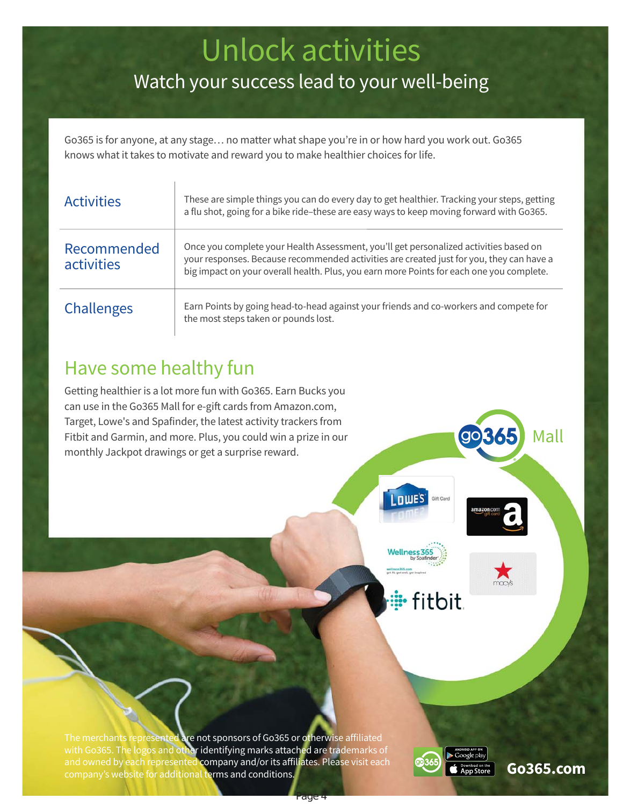# Unlock activities

## Watch your success lead to your well-being

Go365 is for anyone, at any stage… no matter what shape you're in or how hard you work out. Go365 knows what it takes to motivate and reward you to make healthier choices for life.

| <b>Activities</b>         | These are simple things you can do every day to get healthier. Tracking your steps, getting<br>a flu shot, going for a bike ride-these are easy ways to keep moving forward with Go365.                                                                                       |
|---------------------------|-------------------------------------------------------------------------------------------------------------------------------------------------------------------------------------------------------------------------------------------------------------------------------|
| Recommended<br>activities | Once you complete your Health Assessment, you'll get personalized activities based on<br>your responses. Because recommended activities are created just for you, they can have a<br>big impact on your overall health. Plus, you earn more Points for each one you complete. |
| Challenges                | Earn Points by going head-to-head against your friends and co-workers and compete for<br>the most steps taken or pounds lost.                                                                                                                                                 |

### Have some healthy fun

Getting healthier is a lot more fun with Go365. Earn Bucks you can use in the Go365 Mall for e-gift cards from Amazon.com, Target, Lowe's and Spafinder, the latest activity trackers from Fitbit and Garmin, and more. Plus, you could win a prize in our monthly Jackpot drawings or get a surprise reward.



**Wellness 36** 



Mall

**il** fitbit.

The merchants represented are not sponsors of Go365 or otherwise affiliated with Go365. The logos and other identifying marks attached are trademarks of and owned by each represented company and/or its affiliates. Please visit each company's website for additional terms and conditions.

Page 4

**Go365.com**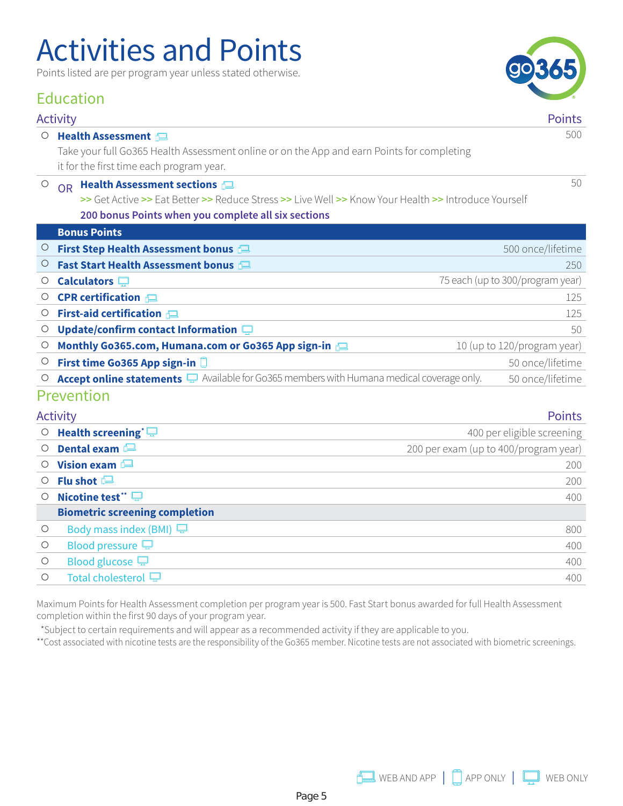# Activities and Points

Points listed are per program year unless stated otherwise.

### Education

#### Activity Points

#### c **Health Assessment**

Take your full Go365 Health Assessment online or on the App and earn Points for completing it for the first time each program year.

#### **O** OR **Health Assessment sections**

**>>** Get Active **>>** Eat Better **>>** Reduce Stress **>>** Live Well **>>** Know Your Health **>>** Introduce Yourself **200 bonus Points when you complete all six sections**

|         | <b>Bonus Points</b>                                                                       |                                  |
|---------|-------------------------------------------------------------------------------------------|----------------------------------|
| $\cup$  | First Step Health Assessment bonus                                                        | 500 once/lifetime                |
| $\circ$ | Fast Start Health Assessment bonus                                                        | 250                              |
| Ő       | Calculators $\Box$                                                                        | 75 each (up to 300/program year) |
| Ő       | <b>CPR</b> certification $\Box$                                                           | 125                              |
| Ő       | <b>First-aid certification <math>\Box</math></b>                                          | 125                              |
| Ő       | Update/confirm contact Information $\square$                                              | 50                               |
| Ő       | Monthly Go365.com, Humana.com or Go365 App sign-in                                        | 10 (up to 120/program year)      |
| O       | First time Go365 App sign-in                                                              | 50 once/lifetime                 |
|         | Accept online statements a Available for Go365 members with Humana medical coverage only. | 50 once/lifetime                 |
|         | Prevention                                                                                |                                  |

|            | <b>Activity</b>                       | <b>Points</b>                         |
|------------|---------------------------------------|---------------------------------------|
| $\circ$    | Health screening <sup>*</sup> $\Box$  | 400 per eligible screening            |
| $\circ$    | Dental exam $\blacksquare$            | 200 per exam (up to 400/program year) |
| $\circ$    | Vision exam $\blacksquare$            | 200                                   |
| $\circ$    | Flu shot $\Box$                       | 200                                   |
| $\bigcirc$ | Nicotine test** $\Box$                | 400                                   |
|            | <b>Biometric screening completion</b> |                                       |
| $\circ$    | Body mass index (BMI) $\Box$          | 800                                   |
| $\circ$    | Blood pressure $\Box$                 | 400                                   |
| $\circ$    | Blood glucose $\Box$                  | 400                                   |
| $\bigcirc$ | Total cholesterol P                   | 400                                   |
|            |                                       |                                       |

Maximum Points for Health Assessment completion per program year is 500. Fast Start bonus awarded for full Health Assessment completion within the first 90 days of your program year.

\*Subject to certain requirements and will appear as a recommended activity if they are applicable to you.

\*\* Cost associated with nicotine tests are the responsibility of the Go365 member. Nicotine tests are not associated with biometric screenings.



50

500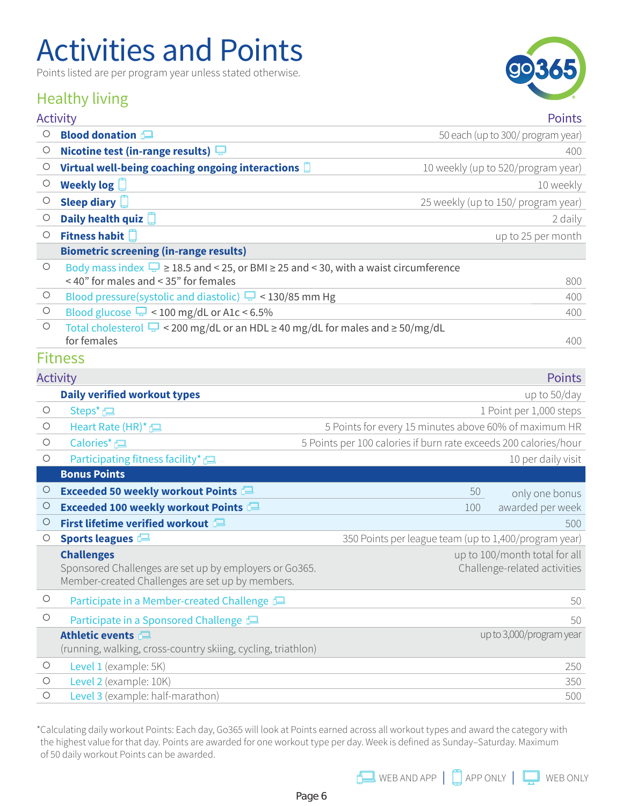# Activities and Points

Points listed are per program year unless stated otherwise.

### Healthy living



|            | <b>Activity</b>                                                                                                                 | <b>Points</b>                                                    |
|------------|---------------------------------------------------------------------------------------------------------------------------------|------------------------------------------------------------------|
| $\circ$    | <b>Blood donation</b>                                                                                                           | 50 each (up to 300/ program year)                                |
| О          | Nicotine test (in-range results) $\Box$                                                                                         | 400                                                              |
| О          | Virtual well-being coaching ongoing interactions                                                                                | 10 weekly (up to 520/program year)                               |
| $\circ$    | Weekly $log$                                                                                                                    | 10 weekly                                                        |
| $\circ$    | Sleep diary                                                                                                                     | 25 weekly (up to 150/ program year)                              |
| $\circ$    | Daily health quiz                                                                                                               | 2 daily                                                          |
| $\circ$    | Fitness habit                                                                                                                   | up to 25 per month                                               |
|            | <b>Biometric screening (in-range results)</b>                                                                                   |                                                                  |
| $\bigcirc$ | Body mass index $\Box$ ≥ 18.5 and < 25, or BMI ≥ 25 and < 30, with a waist circumference<br><40" for males and <35" for females | 800                                                              |
| $\bigcirc$ | Blood pressure(systolic and diastolic) $\Box$ < 130/85 mm Hg                                                                    | 400                                                              |
| $\circ$    | Blood glucose $\Box$ < 100 mg/dL or A1c < 6.5%                                                                                  | 400                                                              |
| $\circ$    | Total cholesterol $\Box$ < 200 mg/dL or an HDL $\geq$ 40 mg/dL for males and $\geq$ 50/mg/dL                                    |                                                                  |
|            | for females                                                                                                                     | 400                                                              |
|            | <b>Fitness</b>                                                                                                                  |                                                                  |
|            | <b>Activity</b>                                                                                                                 | <b>Points</b>                                                    |
|            | <b>Daily verified workout types</b>                                                                                             | up to 50/day                                                     |
| $\bigcirc$ | Steps*                                                                                                                          | 1 Point per 1,000 steps                                          |
| $\circ$    | Heart Rate $(HR)^*$                                                                                                             | 5 Points for every 15 minutes above 60% of maximum HR            |
| $\circ$    | Calories*                                                                                                                       | 5 Points per 100 calories if burn rate exceeds 200 calories/hour |
| $\bigcirc$ | Participating fitness facility*                                                                                                 | 10 per daily visit                                               |
|            | <b>Bonus Points</b>                                                                                                             |                                                                  |
| $\circ$    | <b>Exceeded 50 weekly workout Points</b>                                                                                        | 50<br>only one bonus                                             |
| $\circ$    | Exceeded 100 weekly workout Points                                                                                              | awarded per week<br>100                                          |
| О          | First lifetime verified workout                                                                                                 | 500                                                              |
| $\circ$    | Sports leagues                                                                                                                  | 350 Points per league team (up to 1,400/program year)            |
|            | <b>Challenges</b><br>Sponsored Challenges are set up by employers or Go365.<br>Member-created Challenges are set up by members. | up to 100/month total for all<br>Challenge-related activities    |
| $\circ$    | Participate in a Member-created Challenge                                                                                       | 50                                                               |
| $\bigcirc$ | Participate in a Sponsored Challenge <b>P</b>                                                                                   | 50                                                               |
|            | Athletic events<br>(running, walking, cross-country skiing, cycling, triathlon)                                                 | up to 3,000/program year                                         |
| $\circ$    | Level 1 (example: 5K)                                                                                                           | 250                                                              |
| $\circ$    | Level 2 (example: 10K)                                                                                                          | 350                                                              |

**c** Level 3 (example: half-marathon) 500

\* Calculating daily workout Points: Each day, Go365 will look at Points earned across all workout types and award the category with the highest value for that day. Points are awarded for one workout type per day. Week is defined as Sunday–Saturday. Maximum of 50 daily workout Points can be awarded.